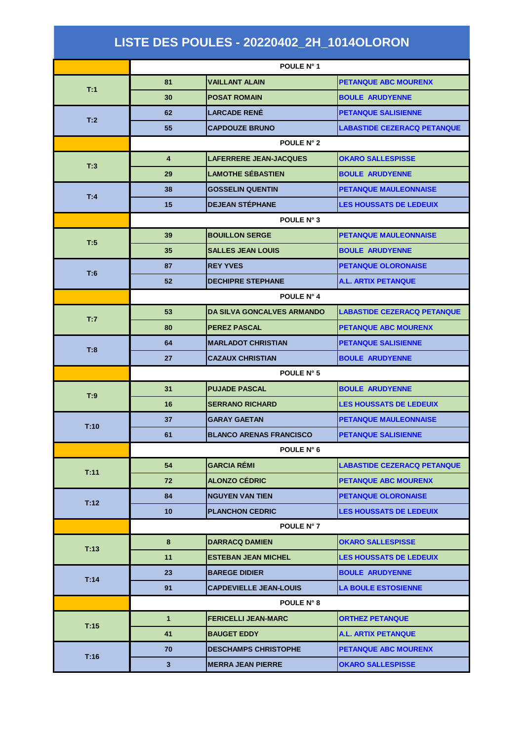| LISTE DES POULES - 20220402_2H_1014OLORON |                   |                                   |                                    |  |  |
|-------------------------------------------|-------------------|-----------------------------------|------------------------------------|--|--|
|                                           | POULE N° 1        |                                   |                                    |  |  |
|                                           | 81                | <b>VAILLANT ALAIN</b>             | <b>PETANQUE ABC MOURENX</b>        |  |  |
| T:1                                       | 30                | <b>POSAT ROMAIN</b>               | <b>BOULE ARUDYENNE</b>             |  |  |
|                                           | 62                | <b>LARCADE RENÉ</b>               | <b>PETANQUE SALISIENNE</b>         |  |  |
| T:2                                       | 55                | <b>CAPDOUZE BRUNO</b>             | <b>LABASTIDE CEZERACQ PETANQUE</b> |  |  |
|                                           |                   | <b>POULE N° 2</b>                 |                                    |  |  |
| T:3                                       | 4                 | <b>LAFERRERE JEAN-JACQUES</b>     | <b>OKARO SALLESPISSE</b>           |  |  |
|                                           | 29                | <b>LAMOTHE SÉBASTIEN</b>          | <b>BOULE ARUDYENNE</b>             |  |  |
| T:4                                       | 38                | <b>GOSSELIN QUENTIN</b>           | <b>PETANQUE MAULEONNAISE</b>       |  |  |
|                                           | 15                | <b>DEJEAN STÉPHANE</b>            | <b>LES HOUSSATS DE LEDEUIX</b>     |  |  |
|                                           | POULE N° 3        |                                   |                                    |  |  |
| T:5                                       | 39                | <b>BOUILLON SERGE</b>             | <b>PETANQUE MAULEONNAISE</b>       |  |  |
|                                           | 35                | <b>SALLES JEAN LOUIS</b>          | <b>BOULE ARUDYENNE</b>             |  |  |
| T:6                                       | 87                | <b>REY YVES</b>                   | <b>PETANQUE OLORONAISE</b>         |  |  |
|                                           | 52                | <b>DECHIPRE STEPHANE</b>          | <b>A.L. ARTIX PETANQUE</b>         |  |  |
|                                           | <b>POULE N° 4</b> |                                   |                                    |  |  |
| T:7                                       | 53                | <b>DA SILVA GONCALVES ARMANDO</b> | <b>LABASTIDE CEZERACQ PETANQUE</b> |  |  |
|                                           | 80                | <b>PEREZ PASCAL</b>               | <b>PETANQUE ABC MOURENX</b>        |  |  |
| T:8                                       | 64                | <b>MARLADOT CHRISTIAN</b>         | <b>PETANQUE SALISIENNE</b>         |  |  |
|                                           | 27                | <b>CAZAUX CHRISTIAN</b>           | <b>BOULE ARUDYENNE</b>             |  |  |
|                                           | POULE N° 5        |                                   |                                    |  |  |
| T:9                                       | 31                | <b>PUJADE PASCAL</b>              | <b>BOULE ARUDYENNE</b>             |  |  |
|                                           | 16                | <b>SERRANO RICHARD</b>            | <b>LES HOUSSATS DE LEDEUIX</b>     |  |  |
| T:10                                      | 37                | <b>GARAY GAETAN</b>               | <b>PETANQUE MAULEONNAISE</b>       |  |  |
|                                           | 61                | <b>BLANCO ARENAS FRANCISCO</b>    | <b>PETANQUE SALISIENNE</b>         |  |  |
|                                           |                   | POULE N° 6                        |                                    |  |  |
| T:11                                      | 54                | <b>GARCIA REMI</b>                | <b>LABASTIDE CEZERACQ PETANQUE</b> |  |  |
|                                           | 72                | <b>ALONZO CÉDRIC</b>              | <b>PETANQUE ABC MOURENX</b>        |  |  |
| T:12                                      | 84                | <b>NGUYEN VAN TIEN</b>            | <b>PETANQUE OLORONAISE</b>         |  |  |
|                                           | 10                | <b>PLANCHON CEDRIC</b>            | <b>LES HOUSSATS DE LEDEUIX</b>     |  |  |
|                                           |                   | POULE N° 7                        |                                    |  |  |
| T:13                                      | 8                 | <b>DARRACQ DAMIEN</b>             | <b>OKARO SALLESPISSE</b>           |  |  |
|                                           | 11                | <b>ESTEBAN JEAN MICHEL</b>        | <b>LES HOUSSATS DE LEDEUIX</b>     |  |  |
| T:14                                      | 23                | <b>BAREGE DIDIER</b>              | <b>BOULE ARUDYENNE</b>             |  |  |
|                                           | 91                | <b>CAPDEVIELLE JEAN-LOUIS</b>     | <b>LA BOULE ESTOSIENNE</b>         |  |  |
|                                           |                   | POULE N° 8                        |                                    |  |  |
| T:15                                      | $\mathbf{1}$      | <b>FERICELLI JEAN-MARC</b>        | <b>ORTHEZ PETANQUE</b>             |  |  |
|                                           | 41                | <b>BAUGET EDDY</b>                | <b>A.L. ARTIX PETANQUE</b>         |  |  |
| T:16                                      | 70                | <b>DESCHAMPS CHRISTOPHE</b>       | <b>PETANQUE ABC MOURENX</b>        |  |  |
|                                           | $\mathbf{3}$      | <b>MERRA JEAN PIERRE</b>          | <b>OKARO SALLESPISSE</b>           |  |  |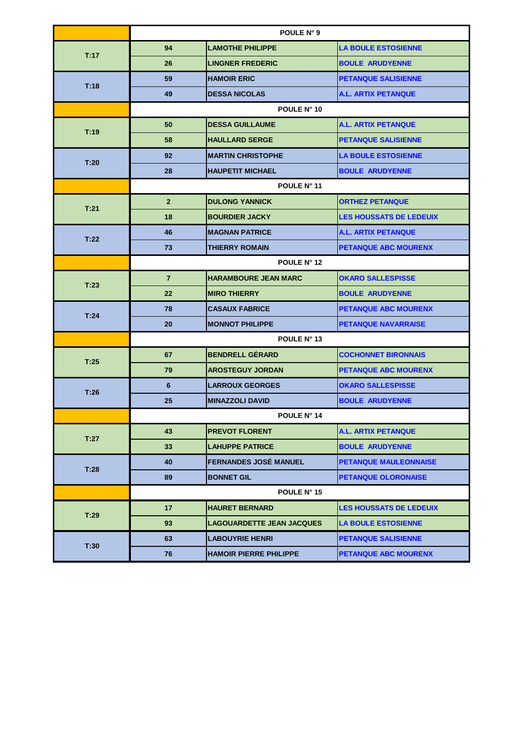|      | POULE N° 9     |                                  |                                |  |
|------|----------------|----------------------------------|--------------------------------|--|
| T:17 | 94             | <b>LAMOTHE PHILIPPE</b>          | <b>LA BOULE ESTOSIENNE</b>     |  |
|      | 26             | <b>LINGNER FREDERIC</b>          | <b>BOULE ARUDYENNE</b>         |  |
| T:18 | 59             | <b>HAMOIR ERIC</b>               | <b>PETANQUE SALISIENNE</b>     |  |
|      | 49             | <b>DESSA NICOLAS</b>             | <b>A.L. ARTIX PETANQUE</b>     |  |
|      | POULE N° 10    |                                  |                                |  |
| T:19 | 50             | <b>DESSA GUILLAUME</b>           | <b>A.L. ARTIX PETANQUE</b>     |  |
|      | 58             | <b>HAULLARD SERGE</b>            | <b>PETANQUE SALISIENNE</b>     |  |
| T:20 | 92             | <b>MARTIN CHRISTOPHE</b>         | <b>LA BOULE ESTOSIENNE</b>     |  |
|      | 28             | <b>HAUPETIT MICHAEL</b>          | <b>BOULE ARUDYENNE</b>         |  |
|      | POULE N° 11    |                                  |                                |  |
| T:21 | $\overline{2}$ | <b>DULONG YANNICK</b>            | <b>ORTHEZ PETANQUE</b>         |  |
|      | 18             | <b>BOURDIER JACKY</b>            | <b>LES HOUSSATS DE LEDEUIX</b> |  |
| T:22 | 46             | <b>MAGNAN PATRICE</b>            | <b>A.L. ARTIX PETANQUE</b>     |  |
|      | 73             | <b>THIERRY ROMAIN</b>            | <b>PETANQUE ABC MOURENX</b>    |  |
|      | POULE N° 12    |                                  |                                |  |
| T:23 | $\overline{7}$ | <b>HARAMBOURE JEAN MARC</b>      | <b>OKARO SALLESPISSE</b>       |  |
|      | 22             | <b>MIRO THIERRY</b>              | <b>BOULE ARUDYENNE</b>         |  |
| T:24 | 78             | <b>CASAUX FABRICE</b>            | <b>PETANQUE ABC MOURENX</b>    |  |
|      | 20             | <b>MONNOT PHILIPPE</b>           | <b>PETANQUE NAVARRAISE</b>     |  |
|      |                | POULE N° 13                      |                                |  |
| T:25 | 67             | <b>BENDRELL GÉRARD</b>           | <b>COCHONNET BIRONNAIS</b>     |  |
|      | 79             | <b>AROSTEGUY JORDAN</b>          | <b>PETANQUE ABC MOURENX</b>    |  |
| T:26 | 6              | <b>LARROUX GEORGES</b>           | <b>OKARO SALLESPISSE</b>       |  |
|      | 25             | <b>MINAZZOLI DAVID</b>           | <b>BOULE ARUDYENNE</b>         |  |
|      |                | <b>POULE N° 14</b>               |                                |  |
| T:27 | 43             | <b>PREVOT FLORENT</b>            | A.L. ARTIX PETANQUE            |  |
|      | 33             | <b>LAHUPPE PATRICE</b>           | <b>BOULE ARUDYENNE</b>         |  |
| T:28 | 40             | <b>FERNANDES JOSE MANUEL</b>     | <b>PETANQUE MAULEONNAISE</b>   |  |
|      | 89             | <b>BONNET GIL</b>                | <b>PETANQUE OLORONAISE</b>     |  |
|      |                | POULE N° 15                      |                                |  |
| T:29 | 17             | <b>HAURET BERNARD</b>            | <b>LES HOUSSATS DE LEDEUIX</b> |  |
|      | 93             | <b>LAGOUARDETTE JEAN JACQUES</b> | <b>LA BOULE ESTOSIENNE</b>     |  |
| T:30 | 63             | <b>LABOUYRIE HENRI</b>           | <b>PETANQUE SALISIENNE</b>     |  |
|      | 76             | <b>HAMOIR PIERRE PHILIPPE</b>    | <b>PETANQUE ABC MOURENX</b>    |  |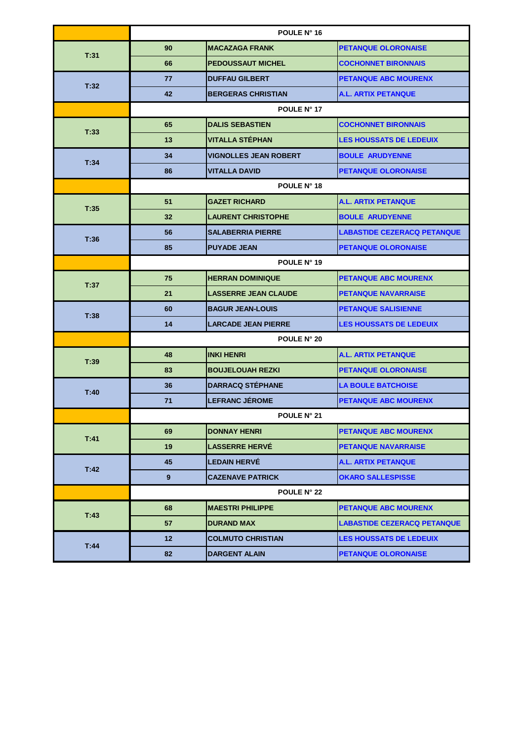|      | POULE N° 16     |                              |                                    |  |  |
|------|-----------------|------------------------------|------------------------------------|--|--|
| T:31 | 90              | <b>MACAZAGA FRANK</b>        | <b>PETANQUE OLORONAISE</b>         |  |  |
|      | 66              | <b>PEDOUSSAUT MICHEL</b>     | <b>COCHONNET BIRONNAIS</b>         |  |  |
| T:32 | 77              | <b>DUFFAU GILBERT</b>        | <b>PETANQUE ABC MOURENX</b>        |  |  |
|      | 42              | <b>BERGERAS CHRISTIAN</b>    | <b>A.L. ARTIX PETANQUE</b>         |  |  |
|      | POULE N° 17     |                              |                                    |  |  |
| T:33 | 65              | <b>DALIS SEBASTIEN</b>       | <b>COCHONNET BIRONNAIS</b>         |  |  |
|      | 13              | <b>VITALLA STÉPHAN</b>       | <b>LES HOUSSATS DE LEDEUIX</b>     |  |  |
| T:34 | 34              | <b>VIGNOLLES JEAN ROBERT</b> | <b>BOULE ARUDYENNE</b>             |  |  |
|      | 86              | <b>VITALLA DAVID</b>         | <b>PETANQUE OLORONAISE</b>         |  |  |
|      | POULE N° 18     |                              |                                    |  |  |
| T:35 | 51              | <b>GAZET RICHARD</b>         | <b>A.L. ARTIX PETANQUE</b>         |  |  |
|      | 32              | <b>LAURENT CHRISTOPHE</b>    | <b>BOULE ARUDYENNE</b>             |  |  |
| T:36 | 56              | <b>SALABERRIA PIERRE</b>     | <b>LABASTIDE CEZERACQ PETANQUE</b> |  |  |
|      | 85              | <b>PUYADE JEAN</b>           | <b>PETANQUE OLORONAISE</b>         |  |  |
|      | POULE N° 19     |                              |                                    |  |  |
| T:37 | 75              | <b>HERRAN DOMINIQUE</b>      | <b>PETANQUE ABC MOURENX</b>        |  |  |
|      | 21              | <b>LASSERRE JEAN CLAUDE</b>  | <b>PETANQUE NAVARRAISE</b>         |  |  |
| T:38 | 60              | <b>BAGUR JEAN-LOUIS</b>      | <b>PETANQUE SALISIENNE</b>         |  |  |
|      | 14              | <b>LARCADE JEAN PIERRE</b>   | <b>LES HOUSSATS DE LEDEUIX</b>     |  |  |
|      |                 | POULE N° 20                  |                                    |  |  |
| T:39 | 48              | <b>INKI HENRI</b>            | <b>A.L. ARTIX PETANQUE</b>         |  |  |
|      | 83              | <b>BOUJELOUAH REZKI</b>      | <b>PETANQUE OLORONAISE</b>         |  |  |
| T:40 | 36              | <b>DARRACQ STÉPHANE</b>      | <b>LA BOULE BATCHOISE</b>          |  |  |
|      | 71              | <b>LEFRANC JÉROME</b>        | <b>PETANQUE ABC MOURENX</b>        |  |  |
|      |                 | POULE N° 21                  |                                    |  |  |
| T:41 | 69              | <b>DONNAY HENRI</b>          | <b>PETANQUE ABC MOURENX</b>        |  |  |
|      | 19              | <b>LASSERRE HERVE</b>        | <b>PETANQUE NAVARRAISE</b>         |  |  |
| T:42 | 45              | <b>LEDAIN HERVE</b>          | A.L. ARTIX PETANQUE                |  |  |
|      | 9               | <b>CAZENAVE PATRICK</b>      | <b>OKARO SALLESPISSE</b>           |  |  |
|      |                 | <b>POULE N° 22</b>           |                                    |  |  |
| T:43 | 68              | <b>MAESTRI PHILIPPE</b>      | <b>PETANQUE ABC MOURENX</b>        |  |  |
|      | 57              | <b>DURAND MAX</b>            | <b>LABASTIDE CEZERACQ PETANQUE</b> |  |  |
| T:44 | 12 <sub>2</sub> | <b>COLMUTO CHRISTIAN</b>     | <b>LES HOUSSATS DE LEDEUIX</b>     |  |  |
|      | 82              | <b>DARGENT ALAIN</b>         | <b>PETANQUE OLORONAISE</b>         |  |  |